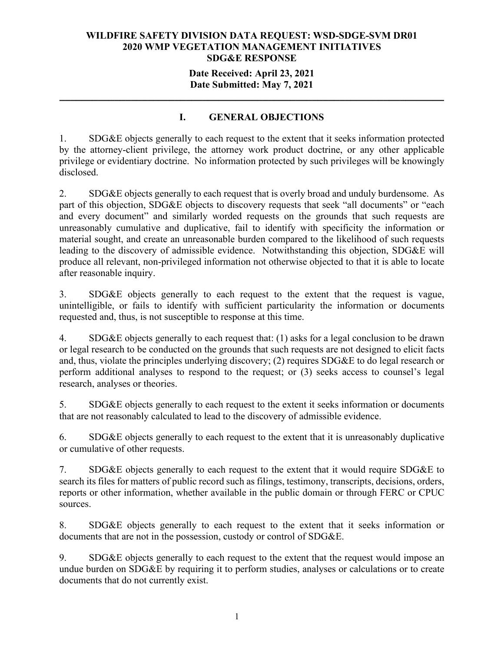## **Date Received: April 23, 2021 Date Submitted: May 7, 2021**

**\_\_\_\_\_\_\_\_\_\_\_\_\_\_\_\_\_\_\_\_\_\_\_\_\_\_\_\_\_\_\_\_\_\_\_\_\_\_\_\_\_\_\_\_\_\_\_\_\_\_\_\_\_\_\_\_\_\_\_\_\_\_\_\_\_\_\_\_\_\_**

## **I. GENERAL OBJECTIONS**

1. SDG&E objects generally to each request to the extent that it seeks information protected by the attorney-client privilege, the attorney work product doctrine, or any other applicable privilege or evidentiary doctrine. No information protected by such privileges will be knowingly disclosed.

2. SDG&E objects generally to each request that is overly broad and unduly burdensome. As part of this objection, SDG&E objects to discovery requests that seek "all documents" or "each and every document" and similarly worded requests on the grounds that such requests are unreasonably cumulative and duplicative, fail to identify with specificity the information or material sought, and create an unreasonable burden compared to the likelihood of such requests leading to the discovery of admissible evidence. Notwithstanding this objection, SDG&E will produce all relevant, non-privileged information not otherwise objected to that it is able to locate after reasonable inquiry.

3. SDG&E objects generally to each request to the extent that the request is vague, unintelligible, or fails to identify with sufficient particularity the information or documents requested and, thus, is not susceptible to response at this time.

4. SDG&E objects generally to each request that: (1) asks for a legal conclusion to be drawn or legal research to be conducted on the grounds that such requests are not designed to elicit facts and, thus, violate the principles underlying discovery; (2) requires SDG&E to do legal research or perform additional analyses to respond to the request; or (3) seeks access to counsel's legal research, analyses or theories.

5. SDG&E objects generally to each request to the extent it seeks information or documents that are not reasonably calculated to lead to the discovery of admissible evidence.

6. SDG&E objects generally to each request to the extent that it is unreasonably duplicative or cumulative of other requests.

7. SDG&E objects generally to each request to the extent that it would require SDG&E to search its files for matters of public record such as filings, testimony, transcripts, decisions, orders, reports or other information, whether available in the public domain or through FERC or CPUC sources.

8. SDG&E objects generally to each request to the extent that it seeks information or documents that are not in the possession, custody or control of SDG&E.

9. SDG&E objects generally to each request to the extent that the request would impose an undue burden on SDG&E by requiring it to perform studies, analyses or calculations or to create documents that do not currently exist.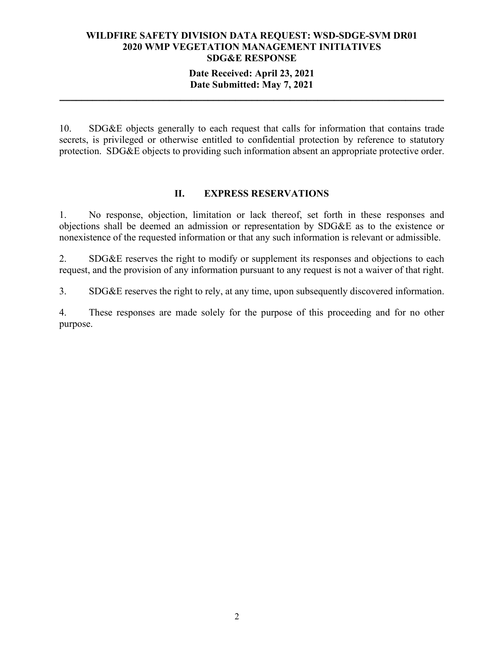### **Date Received: April 23, 2021 Date Submitted: May 7, 2021**

**\_\_\_\_\_\_\_\_\_\_\_\_\_\_\_\_\_\_\_\_\_\_\_\_\_\_\_\_\_\_\_\_\_\_\_\_\_\_\_\_\_\_\_\_\_\_\_\_\_\_\_\_\_\_\_\_\_\_\_\_\_\_\_\_\_\_\_\_\_\_**

10. SDG&E objects generally to each request that calls for information that contains trade secrets, is privileged or otherwise entitled to confidential protection by reference to statutory protection. SDG&E objects to providing such information absent an appropriate protective order.

#### **II. EXPRESS RESERVATIONS**

1. No response, objection, limitation or lack thereof, set forth in these responses and objections shall be deemed an admission or representation by SDG&E as to the existence or nonexistence of the requested information or that any such information is relevant or admissible.

2. SDG&E reserves the right to modify or supplement its responses and objections to each request, and the provision of any information pursuant to any request is not a waiver of that right.

3. SDG&E reserves the right to rely, at any time, upon subsequently discovered information.

4. These responses are made solely for the purpose of this proceeding and for no other purpose.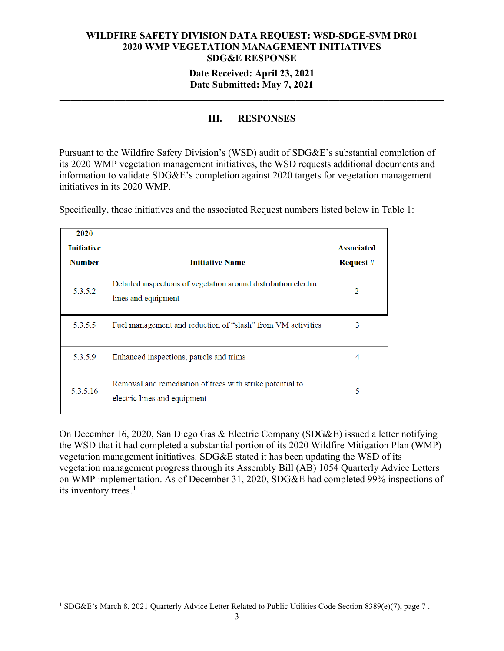## **Date Submitted: May 7, 2021 \_\_\_\_\_\_\_\_\_\_\_\_\_\_\_\_\_\_\_\_\_\_\_\_\_\_\_\_\_\_\_\_\_\_\_\_\_\_\_\_\_\_\_\_\_\_\_\_\_\_\_\_\_\_\_\_\_\_\_\_\_\_\_\_\_\_\_\_\_\_**

## **III. RESPONSES**

Pursuant to the Wildfire Safety Division's (WSD) audit of SDG&E's substantial completion of its 2020 WMP vegetation management initiatives, the WSD requests additional documents and information to validate SDG&E's completion against 2020 targets for vegetation management initiatives in its 2020 WMP.

| 2020<br><b>Initiative</b><br><b>Number</b> | <b>Initiative Name</b>                                                                    | <b>Associated</b><br><b>Request</b> # |
|--------------------------------------------|-------------------------------------------------------------------------------------------|---------------------------------------|
| 5.3.5.2                                    | Detailed inspections of vegetation around distribution electric<br>lines and equipment    |                                       |
| 5.3.5.5                                    | Fuel management and reduction of "slash" from VM activities                               | 3                                     |
| 5.3.5.9                                    | Enhanced inspections, patrols and trims                                                   | 4                                     |
| 5.3.5.16                                   | Removal and remediation of trees with strike potential to<br>electric lines and equipment | 5                                     |

Specifically, those initiatives and the associated Request numbers listed below in Table 1:

On December 16, 2020, San Diego Gas & Electric Company (SDG&E) issued a letter notifying the WSD that it had completed a substantial portion of its 2020 Wildfire Mitigation Plan (WMP) vegetation management initiatives. SDG&E stated it has been updating the WSD of its vegetation management progress through its Assembly Bill (AB) 1054 Quarterly Advice Letters on WMP implementation. As of December 31, 2020, SDG&E had completed 99% inspections of its inventory trees.<sup>[1](#page-2-0)</sup>

<span id="page-2-0"></span><sup>&</sup>lt;sup>1</sup> SDG&E's March 8, 2021 Quarterly Advice Letter Related to Public Utilities Code Section 8389(e)(7), page 7.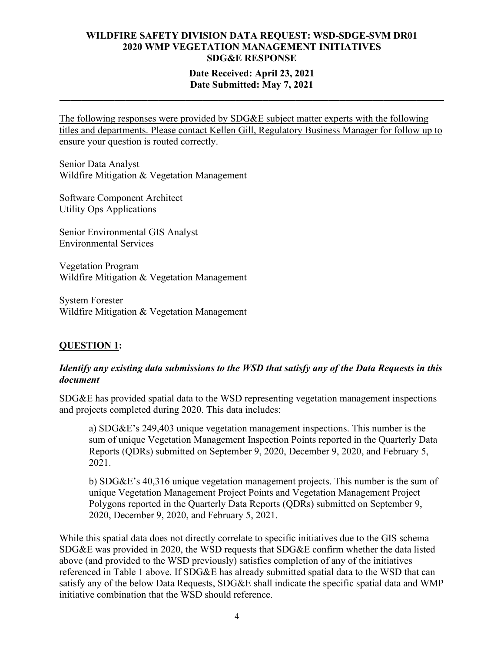## **Date Received: April 23, 2021 Date Submitted: May 7, 2021**

**\_\_\_\_\_\_\_\_\_\_\_\_\_\_\_\_\_\_\_\_\_\_\_\_\_\_\_\_\_\_\_\_\_\_\_\_\_\_\_\_\_\_\_\_\_\_\_\_\_\_\_\_\_\_\_\_\_\_\_\_\_\_\_\_\_\_\_\_\_\_**

The following responses were provided by SDG&E subject matter experts with the following titles and departments. Please contact Kellen Gill, Regulatory Business Manager for follow up to ensure your question is routed correctly.

Senior Data Analyst Wildfire Mitigation & Vegetation Management

Software Component Architect Utility Ops Applications

Senior Environmental GIS Analyst Environmental Services

Vegetation Program Wildfire Mitigation & Vegetation Management

System Forester Wildfire Mitigation & Vegetation Management

## **QUESTION 1:**

## *Identify any existing data submissions to the WSD that satisfy any of the Data Requests in this document*

SDG&E has provided spatial data to the WSD representing vegetation management inspections and projects completed during 2020. This data includes:

a) SDG&E's 249,403 unique vegetation management inspections. This number is the sum of unique Vegetation Management Inspection Points reported in the Quarterly Data Reports (QDRs) submitted on September 9, 2020, December 9, 2020, and February 5, 2021.

b) SDG&E's 40,316 unique vegetation management projects. This number is the sum of unique Vegetation Management Project Points and Vegetation Management Project Polygons reported in the Quarterly Data Reports (QDRs) submitted on September 9, 2020, December 9, 2020, and February 5, 2021.

While this spatial data does not directly correlate to specific initiatives due to the GIS schema SDG&E was provided in 2020, the WSD requests that SDG&E confirm whether the data listed above (and provided to the WSD previously) satisfies completion of any of the initiatives referenced in Table 1 above. If SDG&E has already submitted spatial data to the WSD that can satisfy any of the below Data Requests, SDG&E shall indicate the specific spatial data and WMP initiative combination that the WSD should reference.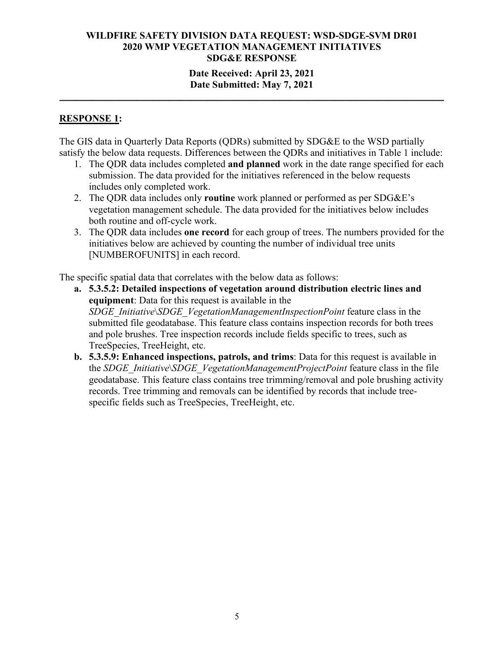## **Date Received: April 23, 2021 Date Submitted: May 7, 2021**

**\_\_\_\_\_\_\_\_\_\_\_\_\_\_\_\_\_\_\_\_\_\_\_\_\_\_\_\_\_\_\_\_\_\_\_\_\_\_\_\_\_\_\_\_\_\_\_\_\_\_\_\_\_\_\_\_\_\_\_\_\_\_\_\_\_\_\_\_\_\_**

#### **RESPONSE 1:**

The GIS data in Quarterly Data Reports (QDRs) submitted by SDG&E to the WSD partially satisfy the below data requests. Differences between the QDRs and initiatives in Table 1 include:

- 1. The QDR data includes completed **and planned** work in the date range specified for each submission. The data provided for the initiatives referenced in the below requests includes only completed work.
- 2. The QDR data includes only **routine** work planned or performed as per SDG&E's vegetation management schedule. The data provided for the initiatives below includes both routine and off-cycle work.
- 3. The QDR data includes **one record** for each group of trees. The numbers provided for the initiatives below are achieved by counting the number of individual tree units [NUMBEROFUNITS] in each record.

The specific spatial data that correlates with the below data as follows:

- **a. 5.3.5.2: Detailed inspections of vegetation around distribution electric lines and equipment**: Data for this request is available in the *SDGE\_Initiative*\*SDGE\_VegetationManagementInspectionPoint* feature class in the submitted file geodatabase. This feature class contains inspection records for both trees and pole brushes. Tree inspection records include fields specific to trees, such as TreeSpecies, TreeHeight, etc.
- **b. 5.3.5.9: Enhanced inspections, patrols, and trims**: Data for this request is available in the *SDGE\_Initiative*\*SDGE\_VegetationManagementProjectPoint* feature class in the file geodatabase. This feature class contains tree trimming/removal and pole brushing activity records. Tree trimming and removals can be identified by records that include treespecific fields such as TreeSpecies, TreeHeight, etc.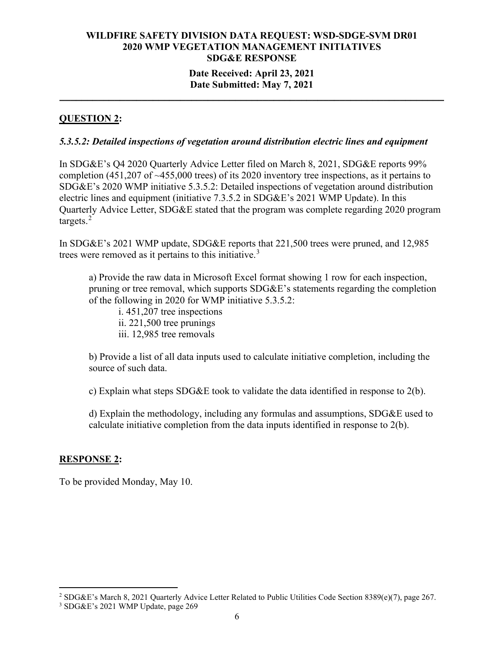# **Date Submitted: May 7, 2021 \_\_\_\_\_\_\_\_\_\_\_\_\_\_\_\_\_\_\_\_\_\_\_\_\_\_\_\_\_\_\_\_\_\_\_\_\_\_\_\_\_\_\_\_\_\_\_\_\_\_\_\_\_\_\_\_\_\_\_\_\_\_\_\_\_\_\_\_\_\_**

## **QUESTION 2:**

#### *5.3.5.2: Detailed inspections of vegetation around distribution electric lines and equipment*

In SDG&E's Q4 2020 Quarterly Advice Letter filed on March 8, 2021, SDG&E reports 99% completion (451,207 of ~455,000 trees) of its 2020 inventory tree inspections, as it pertains to SDG&E's 2020 WMP initiative 5.3.5.2: Detailed inspections of vegetation around distribution electric lines and equipment (initiative 7.3.5.2 in SDG&E's 2021 WMP Update). In this Quarterly Advice Letter, SDG&E stated that the program was complete regarding 2020 program targets.<sup>[2](#page-5-0)</sup>

In SDG&E's 2021 WMP update, SDG&E reports that 221,500 trees were pruned, and 12,985 trees were removed as it pertains to this initiative.<sup>[3](#page-5-1)</sup>

a) Provide the raw data in Microsoft Excel format showing 1 row for each inspection, pruning or tree removal, which supports SDG&E's statements regarding the completion of the following in 2020 for WMP initiative 5.3.5.2:

i. 451,207 tree inspections ii. 221,500 tree prunings iii. 12,985 tree removals

b) Provide a list of all data inputs used to calculate initiative completion, including the source of such data.

c) Explain what steps SDG&E took to validate the data identified in response to  $2(b)$ .

d) Explain the methodology, including any formulas and assumptions,  $SDG\&E$  used to calculate initiative completion from the data inputs identified in response to 2(b).

## **RESPONSE 2:**

To be provided Monday, May 10.

<span id="page-5-0"></span><sup>2</sup> SDG&E's March 8, 2021 Quarterly Advice Letter Related to Public Utilities Code Section 8389(e)(7), page 267.

<span id="page-5-1"></span><sup>3</sup> SDG&E's 2021 WMP Update, page 269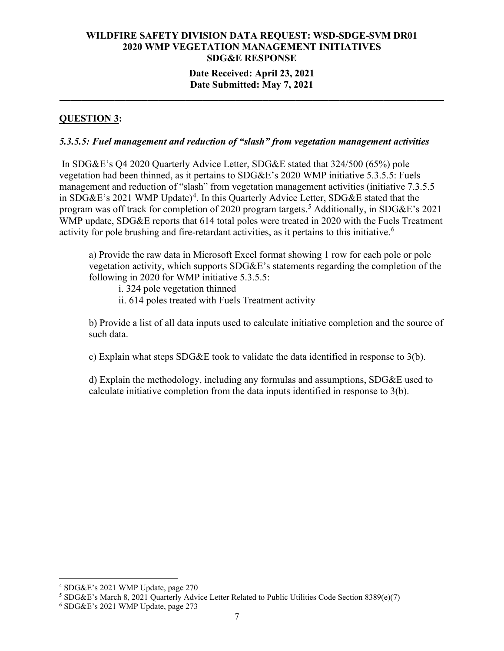#### **Date Received: April 23, 2021 Date Submitted: May 7, 2021 \_\_\_\_\_\_\_\_\_\_\_\_\_\_\_\_\_\_\_\_\_\_\_\_\_\_\_\_\_\_\_\_\_\_\_\_\_\_\_\_\_\_\_\_\_\_\_\_\_\_\_\_\_\_\_\_\_\_\_\_\_\_\_\_\_\_\_\_\_\_**

## **QUESTION 3:**

#### *5.3.5.5: Fuel management and reduction of "slash" from vegetation management activities*

In SDG&E's Q4 2020 Quarterly Advice Letter, SDG&E stated that 324/500 (65%) pole vegetation had been thinned, as it pertains to SDG&E's 2020 WMP initiative 5.3.5.5: Fuels management and reduction of "slash" from vegetation management activities (initiative 7.3.5.5) in SDG&E's 2021 WMP Update)<sup>[4](#page-6-0)</sup>. In this Quarterly Advice Letter, SDG&E stated that the program was off track for completion of 2020 program targets.<sup>[5](#page-6-1)</sup> Additionally, in SDG&E's 2021 WMP update, SDG&E reports that 614 total poles were treated in 2020 with the Fuels Treatment activity for pole brushing and fire-retardant activities, as it pertains to this initiative.<sup>[6](#page-6-2)</sup>

a) Provide the raw data in Microsoft Excel format showing 1 row for each pole or pole vegetation activity, which supports SDG&E's statements regarding the completion of the following in 2020 for WMP initiative 5.3.5.5:

i. 324 pole vegetation thinned

ii. 614 poles treated with Fuels Treatment activity

b) Provide a list of all data inputs used to calculate initiative completion and the source of such data.

c) Explain what steps SDG&E took to validate the data identified in response to 3(b).

d) Explain the methodology, including any formulas and assumptions, SDG&E used to calculate initiative completion from the data inputs identified in response to 3(b).

<span id="page-6-0"></span><sup>4</sup> SDG&E's 2021 WMP Update, page 270

<span id="page-6-1"></span><sup>5</sup> SDG&E's March 8, 2021 Quarterly Advice Letter Related to Public Utilities Code Section 8389(e)(7)

<span id="page-6-2"></span><sup>6</sup> SDG&E's 2021 WMP Update, page 273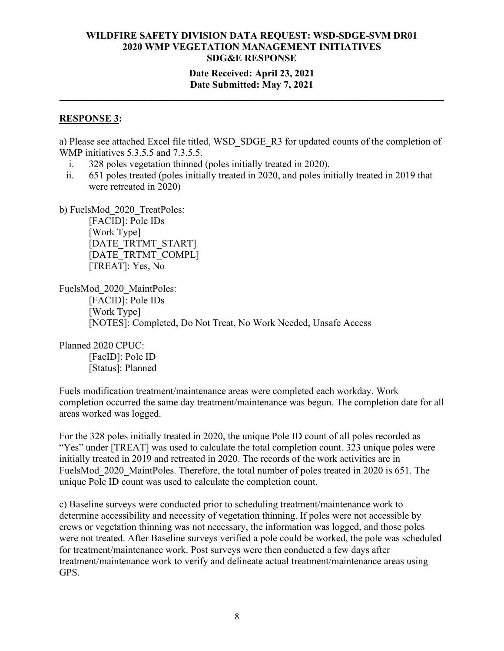#### **Date Received: April 23, 2021 Date Submitted: May 7, 2021**

**\_\_\_\_\_\_\_\_\_\_\_\_\_\_\_\_\_\_\_\_\_\_\_\_\_\_\_\_\_\_\_\_\_\_\_\_\_\_\_\_\_\_\_\_\_\_\_\_\_\_\_\_\_\_\_\_\_\_\_\_\_\_\_\_\_\_\_\_\_\_**

#### **RESPONSE 3:**

a) Please see attached Excel file titled, WSD\_SDGE\_R3 for updated counts of the completion of WMP initiatives 5.3.5.5 and 7.3.5.5.

- i. 328 poles vegetation thinned (poles initially treated in 2020).
- ii. 651 poles treated (poles initially treated in 2020, and poles initially treated in 2019 that were retreated in 2020)

b) FuelsMod\_2020\_TreatPoles:

[FACID]: Pole IDs [Work Type] [DATE\_TRTMT\_START] [DATE\_TRTMT\_COMPL] [TREAT]: Yes, No

FuelsMod\_2020\_MaintPoles: [FACID]: Pole IDs [Work Type] [NOTES]: Completed, Do Not Treat, No Work Needed, Unsafe Access

Planned 2020 CPUC:

[FacID]: Pole ID [Status]: Planned

Fuels modification treatment/maintenance areas were completed each workday. Work completion occurred the same day treatment/maintenance was begun. The completion date for all areas worked was logged.

For the 328 poles initially treated in 2020, the unique Pole ID count of all poles recorded as "Yes" under [TREAT] was used to calculate the total completion count. 323 unique poles were initially treated in 2019 and retreated in 2020. The records of the work activities are in FuelsMod 2020 MaintPoles. Therefore, the total number of poles treated in 2020 is 651. The unique Pole ID count was used to calculate the completion count.

c) Baseline surveys were conducted prior to scheduling treatment/maintenance work to determine accessibility and necessity of vegetation thinning. If poles were not accessible by crews or vegetation thinning was not necessary, the information was logged, and those poles were not treated. After Baseline surveys verified a pole could be worked, the pole was scheduled for treatment/maintenance work. Post surveys were then conducted a few days after treatment/maintenance work to verify and delineate actual treatment/maintenance areas using GPS.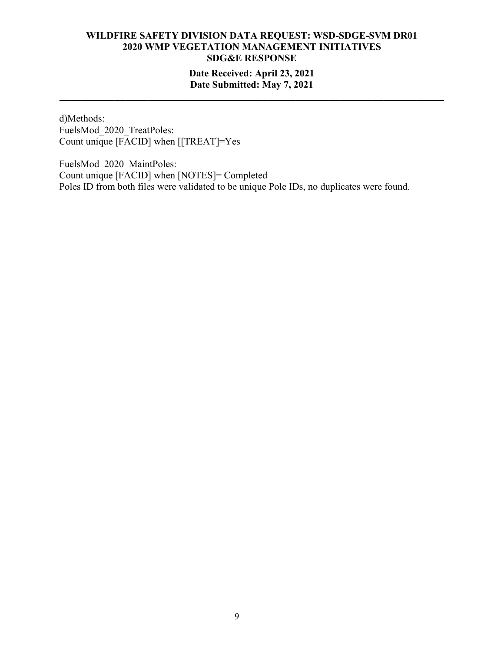## **Date Received: April 23, 2021 Date Submitted: May 7, 2021**

**\_\_\_\_\_\_\_\_\_\_\_\_\_\_\_\_\_\_\_\_\_\_\_\_\_\_\_\_\_\_\_\_\_\_\_\_\_\_\_\_\_\_\_\_\_\_\_\_\_\_\_\_\_\_\_\_\_\_\_\_\_\_\_\_\_\_\_\_\_\_**

d)Methods: FuelsMod\_2020\_TreatPoles: Count unique [FACID] when [[TREAT]=Yes

FuelsMod\_2020\_MaintPoles: Count unique [FACID] when [NOTES]= Completed Poles ID from both files were validated to be unique Pole IDs, no duplicates were found.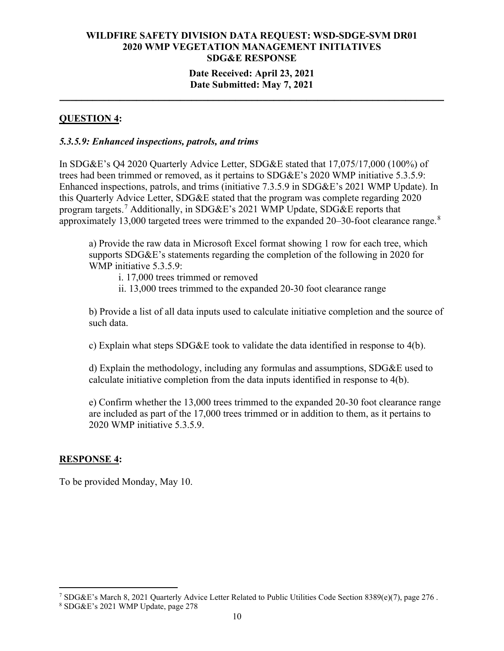#### **Date Received: April 23, 2021 Date Submitted: May 7, 2021**

**\_\_\_\_\_\_\_\_\_\_\_\_\_\_\_\_\_\_\_\_\_\_\_\_\_\_\_\_\_\_\_\_\_\_\_\_\_\_\_\_\_\_\_\_\_\_\_\_\_\_\_\_\_\_\_\_\_\_\_\_\_\_\_\_\_\_\_\_\_\_**

## **QUESTION 4:**

#### *5.3.5.9: Enhanced inspections, patrols, and trims*

In SDG&E's Q4 2020 Quarterly Advice Letter, SDG&E stated that 17,075/17,000 (100%) of trees had been trimmed or removed, as it pertains to SDG&E's 2020 WMP initiative 5.3.5.9: Enhanced inspections, patrols, and trims (initiative 7.3.5.9 in SDG&E's 2021 WMP Update). In this Quarterly Advice Letter, SDG&E stated that the program was complete regarding 2020 program targets.<sup>[7](#page-9-0)</sup> Additionally, in SDG&E's 2021 WMP Update, SDG&E reports that approximately 13,000 targeted trees were trimmed to the expanded 20-30-foot clearance range.<sup>[8](#page-9-1)</sup>

a) Provide the raw data in Microsoft Excel format showing 1 row for each tree, which supports SDG&E's statements regarding the completion of the following in 2020 for WMP initiative 5.3.5.9:

i. 17,000 trees trimmed or removed

ii. 13,000 trees trimmed to the expanded 20-30 foot clearance range

b) Provide a list of all data inputs used to calculate initiative completion and the source of such data.

c) Explain what steps SDG&E took to validate the data identified in response to 4(b).

d) Explain the methodology, including any formulas and assumptions, SDG&E used to calculate initiative completion from the data inputs identified in response to 4(b).

e) Confirm whether the 13,000 trees trimmed to the expanded 20-30 foot clearance range are included as part of the 17,000 trees trimmed or in addition to them, as it pertains to 2020 WMP initiative 5.3.5.9.

#### **RESPONSE 4:**

To be provided Monday, May 10.

<span id="page-9-0"></span><sup>7</sup> SDG&E's March 8, 2021 Quarterly Advice Letter Related to Public Utilities Code Section 8389(e)(7), page 276 .

<span id="page-9-1"></span><sup>8</sup> SDG&E's 2021 WMP Update, page 278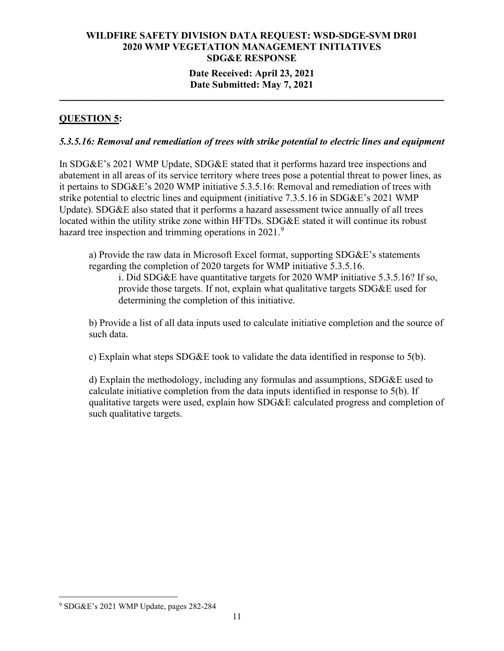#### **Date Received: April 23, 2021 Date Submitted: May 7, 2021**

**\_\_\_\_\_\_\_\_\_\_\_\_\_\_\_\_\_\_\_\_\_\_\_\_\_\_\_\_\_\_\_\_\_\_\_\_\_\_\_\_\_\_\_\_\_\_\_\_\_\_\_\_\_\_\_\_\_\_\_\_\_\_\_\_\_\_\_\_\_\_**

## **QUESTION 5:**

#### *5.3.5.16: Removal and remediation of trees with strike potential to electric lines and equipment*

In SDG&E's 2021 WMP Update, SDG&E stated that it performs hazard tree inspections and abatement in all areas of its service territory where trees pose a potential threat to power lines, as it pertains to SDG&E's 2020 WMP initiative 5.3.5.16: Removal and remediation of trees with strike potential to electric lines and equipment (initiative 7.3.5.16 in SDG&E's 2021 WMP Update). SDG&E also stated that it performs a hazard assessment twice annually of all trees located within the utility strike zone within HFTDs. SDG&E stated it will continue its robust hazard tree inspection and trimming operations in  $2021$ .<sup>[9](#page-10-0)</sup>

a) Provide the raw data in Microsoft Excel format, supporting SDG&E's statements regarding the completion of 2020 targets for WMP initiative 5.3.5.16.

i. Did SDG&E have quantitative targets for 2020 WMP initiative 5.3.5.16? If so, provide those targets. If not, explain what qualitative targets SDG&E used for determining the completion of this initiative.

b) Provide a list of all data inputs used to calculate initiative completion and the source of such data.

c) Explain what steps SDG&E took to validate the data identified in response to 5(b).

d) Explain the methodology, including any formulas and assumptions, SDG&E used to calculate initiative completion from the data inputs identified in response to 5(b). If qualitative targets were used, explain how SDG&E calculated progress and completion of such qualitative targets.

<span id="page-10-0"></span><sup>9</sup> SDG&E's 2021 WMP Update, pages 282-284